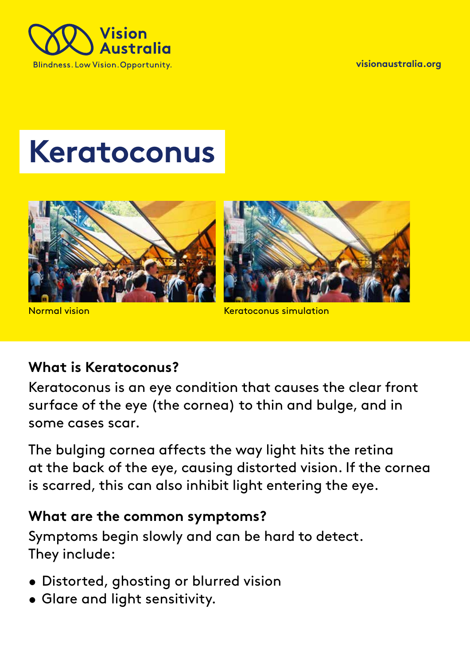

**visionaustralia.org** 

# **Keratoconus**



Normal vision



Keratoconus simulation

## **What is Keratoconus?**

Keratoconus is an eye condition that causes the clear front surface of the eye (the cornea) to thin and bulge, and in some cases scar.

The bulging cornea affects the way light hits the retina at the back of the eye, causing distorted vision. If the cornea is scarred, this can also inhibit light entering the eye.

## **What are the common symptoms?**

Symptoms begin slowly and can be hard to detect. They include:

- Distorted, ghosting or blurred vision
- Glare and light sensitivity.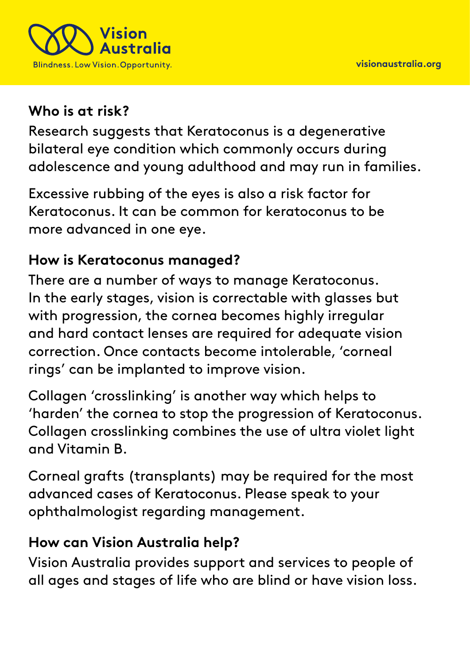

## **Who is at risk?**

Research suggests that Keratoconus is a degenerative bilateral eye condition which commonly occurs during adolescence and young adulthood and may run in families.

Excessive rubbing of the eyes is also a risk factor for Keratoconus. It can be common for keratoconus to be more advanced in one eye.

## **How is Keratoconus managed?**

There are a number of ways to manage Keratoconus. In the early stages, vision is correctable with glasses but with progression, the cornea becomes highly irregular and hard contact lenses are required for adequate vision correction. Once contacts become intolerable, 'corneal rings' can be implanted to improve vision.

Collagen 'crosslinking' is another way which helps to 'harden' the cornea to stop the progression of Keratoconus. Collagen crosslinking combines the use of ultra violet light and Vitamin B.

Corneal grafts (transplants) may be required for the most advanced cases of Keratoconus. Please speak to your ophthalmologist regarding management.

## **How can Vision Australia help?**

Vision Australia provides support and services to people of all ages and stages of life who are blind or have vision loss.